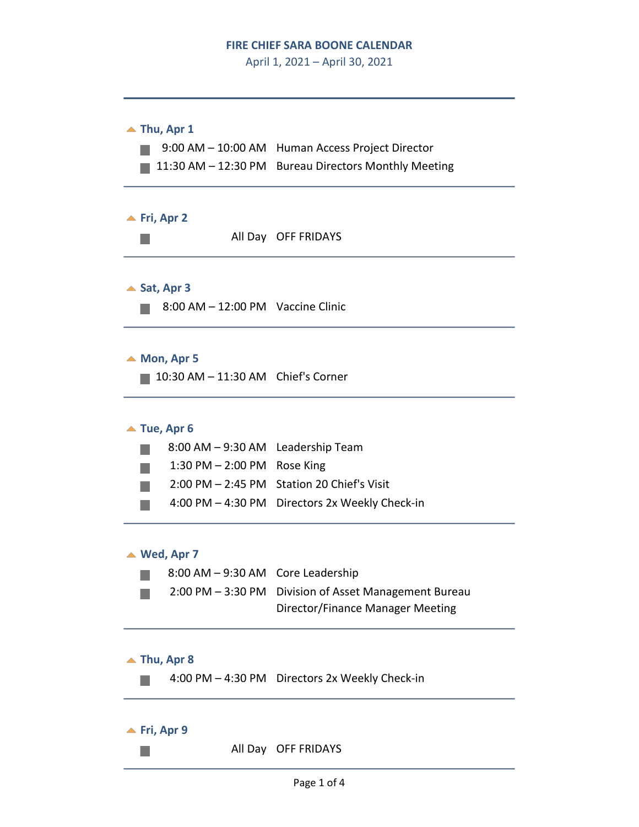### **FIRE CHIEF SARA BOONE CALENDAR**

April 1, 2021 – April 30, 2021



**<del>■</del>** Fri, Apr 9

 $\mathcal{L}_{\mathcal{A}}$ 

All Day OFF FRIDAYS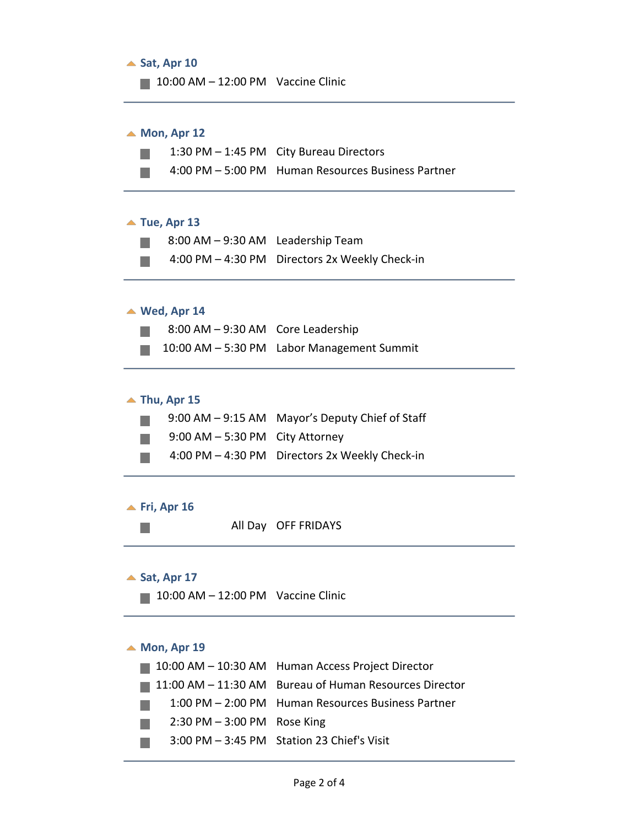

- 2:30 PM 3:00 PM Rose King
- 3:00 PM 3:45 PM Station 23 Chief's Visit $\mathcal{L}^{\text{max}}$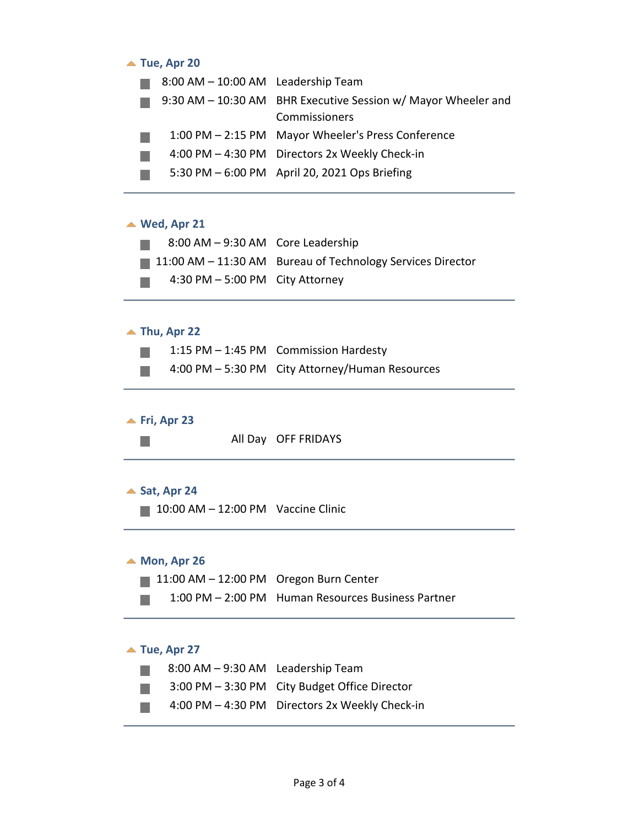### ▲ Tue, Apr 20

| 8:00 AM - 10:00 AM Leadership Team |                                                               |
|------------------------------------|---------------------------------------------------------------|
|                                    | 9:30 AM - 10:30 AM BHR Executive Session w/ Mayor Wheeler and |
|                                    | Commissioners                                                 |
|                                    | 1:00 PM - 2:15 PM Mayor Wheeler's Press Conference            |
|                                    | 4:00 PM - 4:30 PM Directors 2x Weekly Check-in                |
|                                    | 5:30 PM - 6:00 PM April 20, 2021 Ops Briefing                 |
|                                    |                                                               |

### **Wed, Apr 21**

| 8:00 AM - 9:30 AM Core Leadership  |                                                                           |
|------------------------------------|---------------------------------------------------------------------------|
|                                    | $\blacksquare$ 11:00 AM – 11:30 AM Bureau of Technology Services Director |
| $4:30$ PM $-5:00$ PM City Attorney |                                                                           |

### **Thu, Apr 22**

|  | 1:15 PM - 1:45 PM Commission Hardesty           |
|--|-------------------------------------------------|
|  | 4:00 PM - 5:30 PM City Attorney/Human Resources |

## **<u>▲ Fri, Apr 23</u>**

 $\mathbb{R}^3$ 

#### ▲ Sat, Apr 24

 $10:00$  AM  $- 12:00$  PM Vaccine Clinic

## ▲ Mon, Apr 26

- 11:00 AM 12:00 PM Oregon Burn Center
- $\mathbb{R}^3$ 1:00 PM – 2:00 PM Human Resources Business Partner

## **Tue, Apr 27**

| 8:00 AM - 9:30 AM Leadership Team |                                                |
|-----------------------------------|------------------------------------------------|
|                                   | 3:00 PM - 3:30 PM City Budget Office Director  |
|                                   | 4:00 PM - 4:30 PM Directors 2x Weekly Check-in |